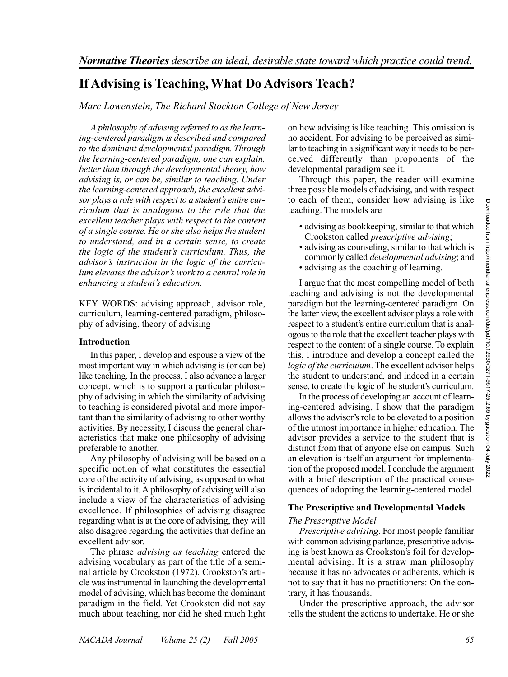# **If Advising is Teaching, What Do Advisors Teach?**

*Marc Lowenstein, The Richard Stockton College of New Jersey*

*A philosophy of advising referred to as the learning-centered paradigm is described and compared to the dominant developmental paradigm. Through the learning-centered paradigm, one can explain, better than through the developmental theory, how advising is, or can be, similar to teaching. Under the learning-centered approach, the excellent advisor plays a role with respect to a student's entire curriculum that is analogous to the role that the excellent teacher plays with respect to the content of a single course. He or she also helps the student to understand, and in a certain sense, to create the logic of the student's curriculum. Thus, the advisor's instruction in the logic of the curriculum elevates the advisor's work to a central role in enhancing a student's education.*

KEY WORDS: advising approach, advisor role, curriculum, learning-centered paradigm, philosophy of advising, theory of advising

### **Introduction**

In this paper, I develop and espouse a view of the most important way in which advising is (or can be) like teaching. In the process, I also advance a larger concept, which is to support a particular philosophy of advising in which the similarity of advising to teaching is considered pivotal and more important than the similarity of advising to other worthy activities. By necessity, I discuss the general characteristics that make one philosophy of advising preferable to another.

Any philosophy of advising will be based on a specific notion of what constitutes the essential core of the activity of advising, as opposed to what is incidental to it. A philosophy of advising will also include a view of the characteristics of advising excellence. If philosophies of advising disagree regarding what is at the core of advising, they will also disagree regarding the activities that define an excellent advisor.

The phrase *advising as teaching* entered the advising vocabulary as part of the title of a seminal article by Crookston (1972). Crookston's article was instrumental in launching the developmental model of advising, which has become the dominant paradigm in the field. Yet Crookston did not say much about teaching, nor did he shed much light

on how advising is like teaching. This omission is no accident. For advising to be perceived as similar to teaching in a significant way it needs to be perceived differently than proponents of the developmental paradigm see it.

Through this paper, the reader will examine three possible models of advising, and with respect to each of them, consider how advising is like teaching. The models are

- advising as bookkeeping, similar to that which Crookston called *prescriptive advising*;
- advising as counseling, similar to that which is commonly called *developmental advising*; and
- advising as the coaching of learning.

I argue that the most compelling model of both teaching and advising is not the developmental paradigm but the learning-centered paradigm. On the latter view, the excellent advisor plays a role with respect to a student's entire curriculum that is analogous to the role that the excellent teacher plays with respect to the content of a single course. To explain this, I introduce and develop a concept called the *logic of the curriculum*. The excellent advisor helps the student to understand, and indeed in a certain sense, to create the logic of the student's curriculum.

In the process of developing an account of learning-centered advising, I show that the paradigm allows the advisor's role to be elevated to a position of the utmost importance in higher education. The advisor provides a service to the student that is distinct from that of anyone else on campus. Such an elevation is itself an argument for implementation of the proposed model. I conclude the argument with a brief description of the practical consequences of adopting the learning-centered model.

# **The Prescriptive and Developmental Models**

# *The Prescriptive Model*

*Prescriptive advising*. For most people familiar with common advising parlance, prescriptive advising is best known as Crookston's foil for developmental advising. It is a straw man philosophy because it has no advocates or adherents, which is not to say that it has no practitioners: On the contrary, it has thousands.

Under the prescriptive approach, the advisor tells the student the actions to undertake. He or she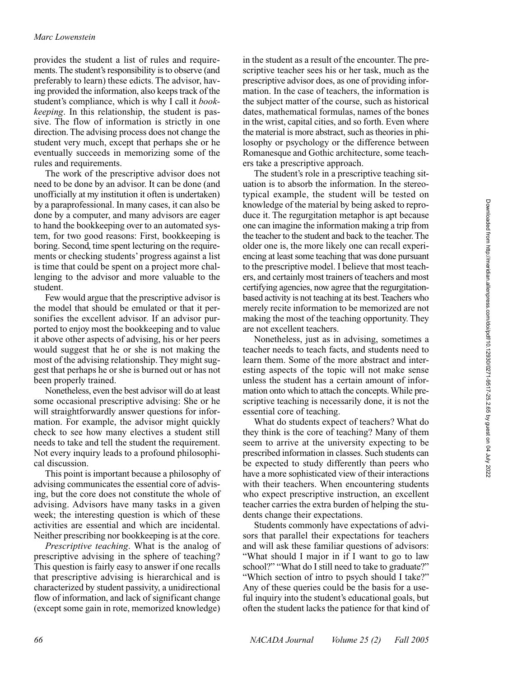### *Marc Lowenstein*

provides the student a list of rules and requirements. The student's responsibility is to observe (and preferably to learn) these edicts. The advisor, having provided the information, also keeps track of the student's compliance, which is why I call it *bookkeeping*. In this relationship, the student is passive. The flow of information is strictly in one direction. The advising process does not change the student very much, except that perhaps she or he eventually succeeds in memorizing some of the rules and requirements.

The work of the prescriptive advisor does not need to be done by an advisor. It can be done (and unofficially at my institution it often is undertaken) by a paraprofessional. In many cases, it can also be done by a computer, and many advisors are eager to hand the bookkeeping over to an automated system, for two good reasons: First, bookkeeping is boring. Second, time spent lecturing on the requirements or checking students' progress against a list is time that could be spent on a project more challenging to the advisor and more valuable to the student.

Few would argue that the prescriptive advisor is the model that should be emulated or that it personifies the excellent advisor. If an advisor purported to enjoy most the bookkeeping and to value it above other aspects of advising, his or her peers would suggest that he or she is not making the most of the advising relationship. They might suggest that perhaps he or she is burned out or has not been properly trained.

Nonetheless, even the best advisor will do at least some occasional prescriptive advising: She or he will straightforwardly answer questions for information. For example, the advisor might quickly check to see how many electives a student still needs to take and tell the student the requirement. Not every inquiry leads to a profound philosophical discussion.

This point is important because a philosophy of advising communicates the essential core of advising, but the core does not constitute the whole of advising. Advisors have many tasks in a given week; the interesting question is which of these activities are essential and which are incidental. Neither prescribing nor bookkeeping is at the core.

*Prescriptive teaching*. What is the analog of prescriptive advising in the sphere of teaching? This question is fairly easy to answer if one recalls that prescriptive advising is hierarchical and is characterized by student passivity, a unidirectional flow of information, and lack of significant change (except some gain in rote, memorized knowledge)

in the student as a result of the encounter. The prescriptive teacher sees his or her task, much as the prescriptive advisor does, as one of providing information. In the case of teachers, the information is the subject matter of the course, such as historical dates, mathematical formulas, names of the bones in the wrist, capital cities, and so forth. Even where the material is more abstract, such as theories in philosophy or psychology or the difference between Romanesque and Gothic architecture, some teachers take a prescriptive approach.

The student's role in a prescriptive teaching situation is to absorb the information. In the stereotypical example, the student will be tested on knowledge of the material by being asked to reproduce it. The regurgitation metaphor is apt because one can imagine the information making a trip from the teacher to the student and back to the teacher. The older one is, the more likely one can recall experiencing at least some teaching that was done pursuant to the prescriptive model. I believe that most teachers, and certainly most trainers of teachers and most certifying agencies, now agree that the regurgitationbased activity is not teaching at its best. Teachers who merely recite information to be memorized are not making the most of the teaching opportunity. They are not excellent teachers.

Nonetheless, just as in advising, sometimes a teacher needs to teach facts, and students need to learn them. Some of the more abstract and interesting aspects of the topic will not make sense unless the student has a certain amount of information onto which to attach the concepts. While prescriptive teaching is necessarily done, it is not the essential core of teaching.

What do students expect of teachers? What do they think is the core of teaching? Many of them seem to arrive at the university expecting to be prescribed information in classes. Such students can be expected to study differently than peers who have a more sophisticated view of their interactions with their teachers. When encountering students who expect prescriptive instruction, an excellent teacher carries the extra burden of helping the students change their expectations.

Students commonly have expectations of advisors that parallel their expectations for teachers and will ask these familiar questions of advisors: "What should I major in if I want to go to law school?" "What do I still need to take to graduate?" "Which section of intro to psych should I take?" Any of these queries could be the basis for a useful inquiry into the student's educational goals, but often the student lacks the patience for that kind of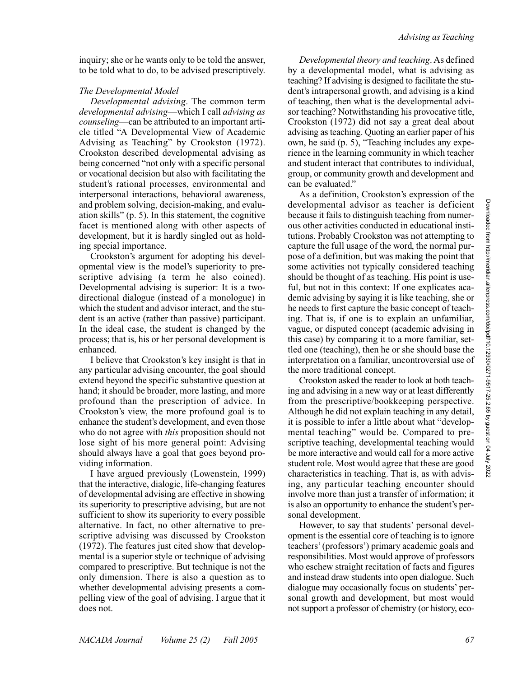inquiry; she or he wants only to be told the answer, to be told what to do, to be advised prescriptively.

# *The Developmental Model*

*Developmental advising*. The common term *developmental advising*—which I call *advising as counseling*—can be attributed to an important article titled "A Developmental View of Academic Advising as Teaching" by Crookston (1972). Crookston described developmental advising as being concerned "not only with a specific personal or vocational decision but also with facilitating the student's rational processes, environmental and interpersonal interactions, behavioral awareness, and problem solving, decision-making, and evaluation skills" (p. 5). In this statement, the cognitive facet is mentioned along with other aspects of development, but it is hardly singled out as holding special importance.

Crookston's argument for adopting his developmental view is the model's superiority to prescriptive advising (a term he also coined). Developmental advising is superior: It is a twodirectional dialogue (instead of a monologue) in which the student and advisor interact, and the student is an active (rather than passive) participant. In the ideal case, the student is changed by the process; that is, his or her personal development is enhanced.

I believe that Crookston's key insight is that in any particular advising encounter, the goal should extend beyond the specific substantive question at hand; it should be broader, more lasting, and more profound than the prescription of advice. In Crookston's view, the more profound goal is to enhance the student's development, and even those who do not agree with *this* proposition should not lose sight of his more general point: Advising should always have a goal that goes beyond providing information.

I have argued previously (Lowenstein, 1999) that the interactive, dialogic, life-changing features of developmental advising are effective in showing its superiority to prescriptive advising, but are not sufficient to show its superiority to every possible alternative. In fact, no other alternative to prescriptive advising was discussed by Crookston (1972). The features just cited show that developmental is a superior style or technique of advising compared to prescriptive. But technique is not the only dimension. There is also a question as to whether developmental advising presents a compelling view of the goal of advising. I argue that it does not.

*Developmental theory and teaching*. As defined by a developmental model, what is advising as teaching? If advising is designed to facilitate the student's intrapersonal growth, and advising is a kind of teaching, then what is the developmental advisor teaching? Notwithstanding his provocative title, Crookston (1972) did not say a great deal about advising as teaching. Quoting an earlier paper of his own, he said (p. 5), "Teaching includes any experience in the learning community in which teacher and student interact that contributes to individual, group, or community growth and development and can be evaluated."

As a definition, Crookston's expression of the developmental advisor as teacher is deficient because it fails to distinguish teaching from numerous other activities conducted in educational institutions. Probably Crookston was not attempting to capture the full usage of the word, the normal purpose of a definition, but was making the point that some activities not typically considered teaching should be thought of as teaching. His point is useful, but not in this context: If one explicates academic advising by saying it is like teaching, she or he needs to first capture the basic concept of teaching. That is, if one is to explain an unfamiliar, vague, or disputed concept (academic advising in this case) by comparing it to a more familiar, settled one (teaching), then he or she should base the interpretation on a familiar, uncontroversial use of the more traditional concept.

Crookston asked the reader to look at both teaching and advising in a new way or at least differently from the prescriptive/bookkeeping perspective. Although he did not explain teaching in any detail, it is possible to infer a little about what "developmental teaching" would be. Compared to prescriptive teaching, developmental teaching would be more interactive and would call for a more active student role. Most would agree that these are good characteristics in teaching. That is, as with advising, any particular teaching encounter should involve more than just a transfer of information; it is also an opportunity to enhance the student's personal development.

However, to say that students' personal development is the essential core of teaching is to ignore teachers' (professors') primary academic goals and responsibilities. Most would approve of professors who eschew straight recitation of facts and figures and instead draw students into open dialogue. Such dialogue may occasionally focus on students' personal growth and development, but most would not support a professor of chemistry (or history, eco-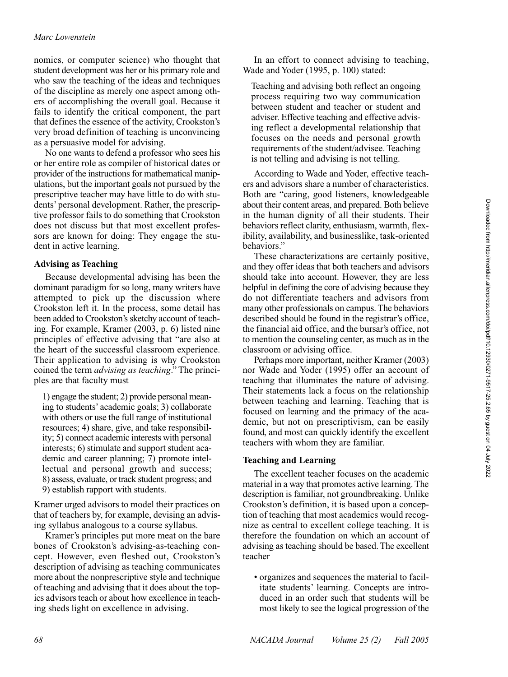# *Marc Lowenstein*

nomics, or computer science) who thought that student development was her or his primary role and who saw the teaching of the ideas and techniques of the discipline as merely one aspect among others of accomplishing the overall goal. Because it fails to identify the critical component, the part that defines the essence of the activity, Crookston's very broad definition of teaching is unconvincing as a persuasive model for advising.

No one wants to defend a professor who sees his or her entire role as compiler of historical dates or provider of the instructions for mathematical manipulations, but the important goals not pursued by the prescriptive teacher may have little to do with students' personal development. Rather, the prescriptive professor fails to do something that Crookston does not discuss but that most excellent professors are known for doing: They engage the student in active learning.

#### **Advising as Teaching**

Because developmental advising has been the dominant paradigm for so long, many writers have attempted to pick up the discussion where Crookston left it. In the process, some detail has been added to Crookston's sketchy account of teaching. For example, Kramer (2003, p. 6) listed nine principles of effective advising that "are also at the heart of the successful classroom experience. Their application to advising is why Crookston coined the term *advising as teaching*." The principles are that faculty must

1) engage the student; 2) provide personal meaning to students' academic goals; 3) collaborate with others or use the full range of institutional resources; 4) share, give, and take responsibility; 5) connect academic interests with personal interests; 6) stimulate and support student academic and career planning; 7) promote intellectual and personal growth and success; 8) assess, evaluate, or track student progress; and

9) establish rapport with students.

Kramer urged advisors to model their practices on that of teachers by, for example, devising an advising syllabus analogous to a course syllabus.

Kramer's principles put more meat on the bare bones of Crookston's advising-as-teaching concept. However, even fleshed out, Crookston's description of advising as teaching communicates more about the nonprescriptive style and technique of teaching and advising that it does about the topics advisors teach or about how excellence in teaching sheds light on excellence in advising.

In an effort to connect advising to teaching, Wade and Yoder (1995, p. 100) stated:

Teaching and advising both reflect an ongoing process requiring two way communication between student and teacher or student and adviser. Effective teaching and effective advising reflect a developmental relationship that focuses on the needs and personal growth requirements of the student/advisee. Teaching is not telling and advising is not telling.

According to Wade and Yoder, effective teachers and advisors share a number of characteristics. Both are "caring, good listeners, knowledgeable about their content areas, and prepared. Both believe in the human dignity of all their students. Their behaviors reflect clarity, enthusiasm, warmth, flexibility, availability, and businesslike, task-oriented behaviors."

These characterizations are certainly positive, and they offer ideas that both teachers and advisors should take into account. However, they are less helpful in defining the core of advising because they do not differentiate teachers and advisors from many other professionals on campus. The behaviors described should be found in the registrar's office, the financial aid office, and the bursar's office, not to mention the counseling center, as much as in the classroom or advising office.

Perhaps more important, neither Kramer (2003) nor Wade and Yoder (1995) offer an account of teaching that illuminates the nature of advising. Their statements lack a focus on the relationship between teaching and learning. Teaching that is focused on learning and the primacy of the academic, but not on prescriptivism, can be easily found, and most can quickly identify the excellent teachers with whom they are familiar.

#### **Teaching and Learning**

The excellent teacher focuses on the academic material in a way that promotes active learning. The description is familiar, not groundbreaking. Unlike Crookston's definition, it is based upon a conception of teaching that most academics would recognize as central to excellent college teaching. It is therefore the foundation on which an account of advising as teaching should be based. The excellent teacher

• organizes and sequences the material to facilitate students' learning. Concepts are introduced in an order such that students will be most likely to see the logical progression of the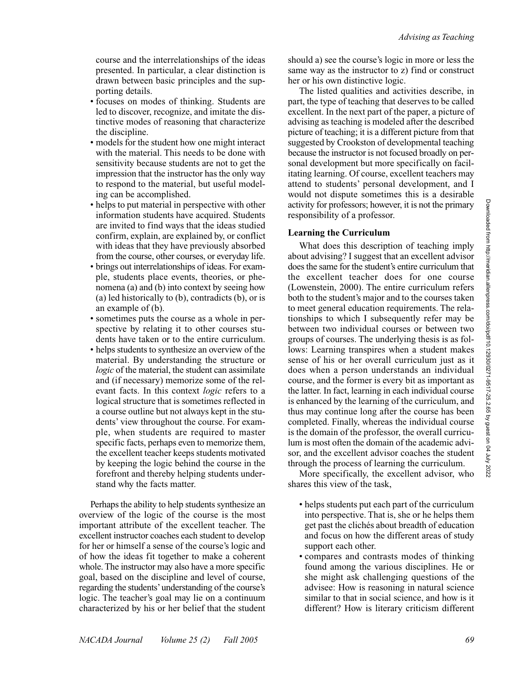course and the interrelationships of the ideas presented. In particular, a clear distinction is drawn between basic principles and the supporting details.

- focuses on modes of thinking. Students are led to discover, recognize, and imitate the distinctive modes of reasoning that characterize the discipline.
- models for the student how one might interact with the material. This needs to be done with sensitivity because students are not to get the impression that the instructor has the only way to respond to the material, but useful modeling can be accomplished.
- helps to put material in perspective with other information students have acquired. Students are invited to find ways that the ideas studied confirm, explain, are explained by, or conflict with ideas that they have previously absorbed from the course, other courses, or everyday life.
- brings out interrelationships of ideas. For example, students place events, theories, or phenomena (a) and (b) into context by seeing how (a) led historically to (b), contradicts (b), or is an example of (b).
- sometimes puts the course as a whole in perspective by relating it to other courses students have taken or to the entire curriculum.
- helps students to synthesize an overview of the material. By understanding the structure or *logic* of the material, the student can assimilate and (if necessary) memorize some of the relevant facts. In this context *logic* refers to a logical structure that is sometimes reflected in a course outline but not always kept in the students' view throughout the course. For example, when students are required to master specific facts, perhaps even to memorize them, the excellent teacher keeps students motivated by keeping the logic behind the course in the forefront and thereby helping students understand why the facts matter.

Perhaps the ability to help students synthesize an overview of the logic of the course is the most important attribute of the excellent teacher. The excellent instructor coaches each student to develop for her or himself a sense of the course's logic and of how the ideas fit together to make a coherent whole. The instructor may also have a more specific goal, based on the discipline and level of course, regarding the students'understanding of the course's logic. The teacher's goal may lie on a continuum characterized by his or her belief that the student should a) see the course's logic in more or less the same way as the instructor to z) find or construct her or his own distinctive logic.

The listed qualities and activities describe, in part, the type of teaching that deserves to be called excellent. In the next part of the paper, a picture of advising as teaching is modeled after the described picture of teaching; it is a different picture from that suggested by Crookston of developmental teaching because the instructor is not focused broadly on personal development but more specifically on facilitating learning. Of course, excellent teachers may attend to students' personal development, and I would not dispute sometimes this is a desirable activity for professors; however, it is not the primary responsibility of a professor.

# **Learning the Curriculum**

What does this description of teaching imply about advising? I suggest that an excellent advisor does the same for the student's entire curriculum that the excellent teacher does for one course (Lowenstein, 2000). The entire curriculum refers both to the student's major and to the courses taken to meet general education requirements. The relationships to which I subsequently refer may be between two individual courses or between two groups of courses. The underlying thesis is as follows: Learning transpires when a student makes sense of his or her overall curriculum just as it does when a person understands an individual course, and the former is every bit as important as the latter. In fact, learning in each individual course is enhanced by the learning of the curriculum, and thus may continue long after the course has been completed. Finally, whereas the individual course is the domain of the professor, the overall curriculum is most often the domain of the academic advisor, and the excellent advisor coaches the student through the process of learning the curriculum.

More specifically, the excellent advisor, who shares this view of the task,

- helps students put each part of the curriculum into perspective. That is, she or he helps them get past the clichés about breadth of education and focus on how the different areas of study support each other.
- compares and contrasts modes of thinking found among the various disciplines. He or she might ask challenging questions of the advisee: How is reasoning in natural science similar to that in social science, and how is it different? How is literary criticism different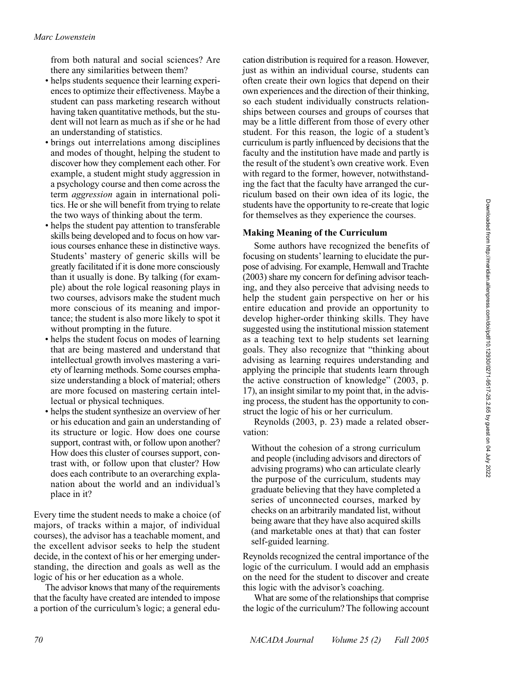from both natural and social sciences? Are there any similarities between them?

- helps students sequence their learning experiences to optimize their effectiveness. Maybe a student can pass marketing research without having taken quantitative methods, but the student will not learn as much as if she or he had an understanding of statistics.
- brings out interrelations among disciplines and modes of thought, helping the student to discover how they complement each other. For example, a student might study aggression in a psychology course and then come across the term *aggression* again in international politics. He or she will benefit from trying to relate the two ways of thinking about the term.
- helps the student pay attention to transferable skills being developed and to focus on how various courses enhance these in distinctive ways. Students' mastery of generic skills will be greatly facilitated if it is done more consciously than it usually is done. By talking (for example) about the role logical reasoning plays in two courses, advisors make the student much more conscious of its meaning and importance; the student is also more likely to spot it without prompting in the future.
- helps the student focus on modes of learning that are being mastered and understand that intellectual growth involves mastering a variety of learning methods. Some courses emphasize understanding a block of material; others are more focused on mastering certain intellectual or physical techniques.
- helps the student synthesize an overview of her or his education and gain an understanding of its structure or logic. How does one course support, contrast with, or follow upon another? How does this cluster of courses support, contrast with, or follow upon that cluster? How does each contribute to an overarching explanation about the world and an individual's place in it?

Every time the student needs to make a choice (of majors, of tracks within a major, of individual courses), the advisor has a teachable moment, and the excellent advisor seeks to help the student decide, in the context of his or her emerging understanding, the direction and goals as well as the logic of his or her education as a whole.

The advisor knows that many of the requirements that the faculty have created are intended to impose a portion of the curriculum's logic; a general education distribution is required for a reason. However, just as within an individual course, students can often create their own logics that depend on their own experiences and the direction of their thinking, so each student individually constructs relationships between courses and groups of courses that may be a little different from those of every other student. For this reason, the logic of a student's curriculum is partly influenced by decisions that the faculty and the institution have made and partly is the result of the student's own creative work. Even with regard to the former, however, notwithstanding the fact that the faculty have arranged the curriculum based on their own idea of its logic, the students have the opportunity to re-create that logic for themselves as they experience the courses.

# **Making Meaning of the Curriculum**

Some authors have recognized the benefits of focusing on students'learning to elucidate the purpose of advising. For example, Hemwall and Trachte (2003) share my concern for defining advisor teaching, and they also perceive that advising needs to help the student gain perspective on her or his entire education and provide an opportunity to develop higher-order thinking skills. They have suggested using the institutional mission statement as a teaching text to help students set learning goals. They also recognize that "thinking about advising as learning requires understanding and applying the principle that students learn through the active construction of knowledge" (2003, p. 17), an insight similar to my point that, in the advising process, the student has the opportunity to construct the logic of his or her curriculum.

Reynolds (2003, p. 23) made a related observation:

Without the cohesion of a strong curriculum and people (including advisors and directors of advising programs) who can articulate clearly the purpose of the curriculum, students may graduate believing that they have completed a series of unconnected courses, marked by checks on an arbitrarily mandated list, without being aware that they have also acquired skills (and marketable ones at that) that can foster self-guided learning.

Reynolds recognized the central importance of the logic of the curriculum. I would add an emphasis on the need for the student to discover and create this logic with the advisor's coaching.

What are some of the relationships that comprise the logic of the curriculum? The following account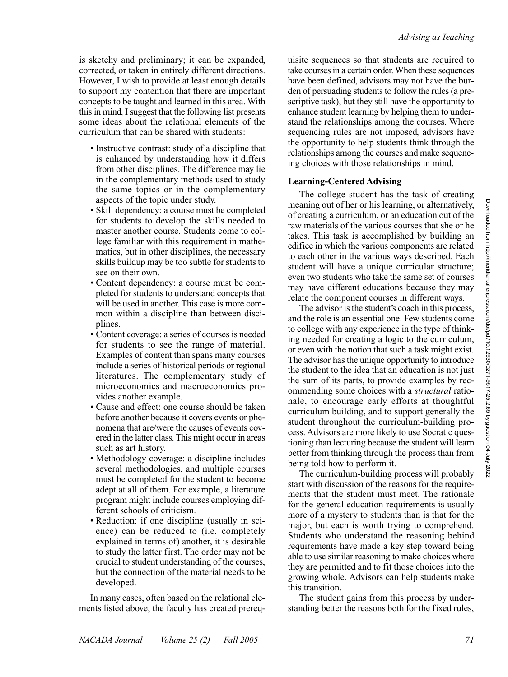is sketchy and preliminary; it can be expanded, corrected, or taken in entirely different directions. However, I wish to provide at least enough details to support my contention that there are important concepts to be taught and learned in this area. With this in mind, I suggest that the following list presents some ideas about the relational elements of the curriculum that can be shared with students:

- Instructive contrast: study of a discipline that is enhanced by understanding how it differs from other disciplines. The difference may lie in the complementary methods used to study the same topics or in the complementary aspects of the topic under study.
- Skill dependency: a course must be completed for students to develop the skills needed to master another course. Students come to college familiar with this requirement in mathematics, but in other disciplines, the necessary skills buildup may be too subtle for students to see on their own.
- Content dependency: a course must be completed for students to understand concepts that will be used in another. This case is more common within a discipline than between disciplines.
- Content coverage: a series of courses is needed for students to see the range of material. Examples of content than spans many courses include a series of historical periods or regional literatures. The complementary study of microeconomics and macroeconomics provides another example.
- Cause and effect: one course should be taken before another because it covers events or phenomena that are/were the causes of events covered in the latter class. This might occur in areas such as art history.
- Methodology coverage: a discipline includes several methodologies, and multiple courses must be completed for the student to become adept at all of them. For example, a literature program might include courses employing different schools of criticism.
- Reduction: if one discipline (usually in science) can be reduced to (i.e. completely explained in terms of) another, it is desirable to study the latter first. The order may not be crucial to student understanding of the courses, but the connection of the material needs to be developed.

In many cases, often based on the relational elements listed above, the faculty has created prereq-

uisite sequences so that students are required to take courses in a certain order. When these sequences have been defined, advisors may not have the burden of persuading students to follow the rules (a prescriptive task), but they still have the opportunity to enhance student learning by helping them to understand the relationships among the courses. Where sequencing rules are not imposed, advisors have the opportunity to help students think through the relationships among the courses and make sequencing choices with those relationships in mind.

# **Learning-Centered Advising**

The college student has the task of creating meaning out of her or his learning, or alternatively, of creating a curriculum, or an education out of the raw materials of the various courses that she or he takes. This task is accomplished by building an edifice in which the various components are related to each other in the various ways described. Each student will have a unique curricular structure; even two students who take the same set of courses may have different educations because they may relate the component courses in different ways.

The advisor is the student's coach in this process, and the role is an essential one. Few students come to college with any experience in the type of thinking needed for creating a logic to the curriculum, or even with the notion that such a task might exist. The advisor has the unique opportunity to introduce the student to the idea that an education is not just the sum of its parts, to provide examples by recommending some choices with a *structural* rationale, to encourage early efforts at thoughtful curriculum building, and to support generally the student throughout the curriculum-building process. Advisors are more likely to use Socratic questioning than lecturing because the student will learn better from thinking through the process than from being told how to perform it.

The curriculum-building process will probably start with discussion of the reasons for the requirements that the student must meet. The rationale for the general education requirements is usually more of a mystery to students than is that for the major, but each is worth trying to comprehend. Students who understand the reasoning behind requirements have made a key step toward being able to use similar reasoning to make choices where they are permitted and to fit those choices into the growing whole. Advisors can help students make this transition.

The student gains from this process by understanding better the reasons both for the fixed rules,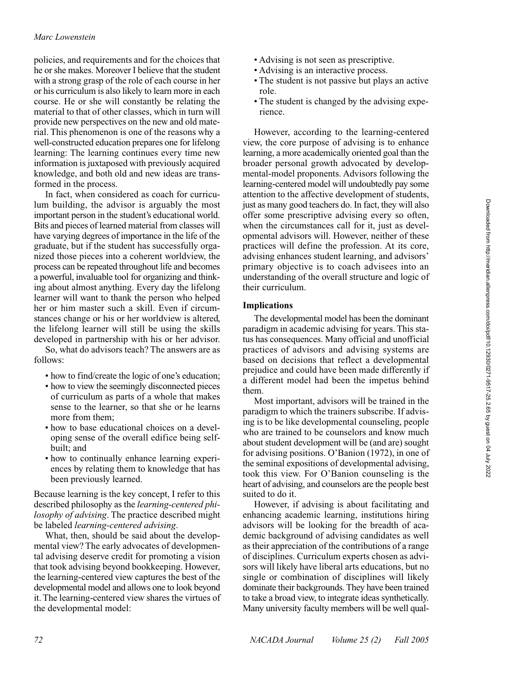policies, and requirements and for the choices that he or she makes. Moreover I believe that the student with a strong grasp of the role of each course in her or his curriculum is also likely to learn more in each course. He or she will constantly be relating the material to that of other classes, which in turn will provide new perspectives on the new and old material. This phenomenon is one of the reasons why a well-constructed education prepares one for lifelong learning: The learning continues every time new information is juxtaposed with previously acquired knowledge, and both old and new ideas are transformed in the process.

In fact, when considered as coach for curriculum building, the advisor is arguably the most important person in the student's educational world. Bits and pieces of learned material from classes will have varying degrees of importance in the life of the graduate, but if the student has successfully organized those pieces into a coherent worldview, the process can be repeated throughout life and becomes a powerful, invaluable tool for organizing and thinking about almost anything. Every day the lifelong learner will want to thank the person who helped her or him master such a skill. Even if circumstances change or his or her worldview is altered, the lifelong learner will still be using the skills developed in partnership with his or her advisor.

So, what do advisors teach? The answers are as follows:

- how to find/create the logic of one's education;
- how to view the seemingly disconnected pieces of curriculum as parts of a whole that makes sense to the learner, so that she or he learns more from them;
- how to base educational choices on a developing sense of the overall edifice being selfbuilt; and
- how to continually enhance learning experiences by relating them to knowledge that has been previously learned.

Because learning is the key concept, I refer to this described philosophy as the *learning-centered philosophy of advising*. The practice described might be labeled *learning-centered advising*.

What, then, should be said about the developmental view? The early advocates of developmental advising deserve credit for promoting a vision that took advising beyond bookkeeping. However, the learning-centered view captures the best of the developmental model and allows one to look beyond it. The learning-centered view shares the virtues of the developmental model:

- Advising is not seen as prescriptive.
- Advising is an interactive process.
- The student is not passive but plays an active role.
- The student is changed by the advising experience.

However, according to the learning-centered view, the core purpose of advising is to enhance learning, a more academically oriented goal than the broader personal growth advocated by developmental-model proponents. Advisors following the learning-centered model will undoubtedly pay some attention to the affective development of students, just as many good teachers do. In fact, they will also offer some prescriptive advising every so often, when the circumstances call for it, just as developmental advisors will. However, neither of these practices will define the profession. At its core, advising enhances student learning, and advisors' primary objective is to coach advisees into an understanding of the overall structure and logic of their curriculum.

### **Implications**

The developmental model has been the dominant paradigm in academic advising for years. This status has consequences. Many official and unofficial practices of advisors and advising systems are based on decisions that reflect a developmental prejudice and could have been made differently if a different model had been the impetus behind them.

Most important, advisors will be trained in the paradigm to which the trainers subscribe. If advising is to be like developmental counseling, people who are trained to be counselors and know much about student development will be (and are) sought for advising positions. O'Banion (1972), in one of the seminal expositions of developmental advising, took this view. For O'Banion counseling is the heart of advising, and counselors are the people best suited to do it.

However, if advising is about facilitating and enhancing academic learning, institutions hiring advisors will be looking for the breadth of academic background of advising candidates as well as their appreciation of the contributions of a range of disciplines. Curriculum experts chosen as advisors will likely have liberal arts educations, but no single or combination of disciplines will likely dominate their backgrounds. They have been trained to take a broad view, to integrate ideas synthetically. Many university faculty members will be well qual-